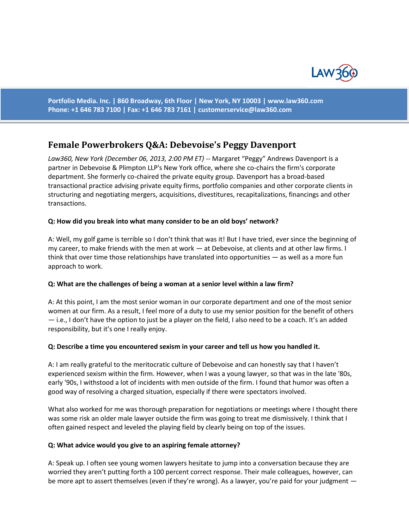

**Portfolio Media. Inc. | 860 Broadway, 6th Floor | New York, NY 10003 | www.law360.com Phone: +1 646 783 7100 | Fax: +1 646 783 7161 | [customerservice@law360.com](mailto:customerservice@law360.com)**

# **Female Powerbrokers Q&A: Debevoise's Peggy Davenport**

*Law360, New York (December 06, 2013, 2:00 PM ET)* -- Margaret "Peggy" Andrews Davenport is a partner in Debevoise & Plimpton LLP's New York office, where she co-chairs the firm's corporate department. She formerly co-chaired the private equity group. Davenport has a broad-based transactional practice advising private equity firms, portfolio companies and other corporate clients in structuring and negotiating mergers, acquisitions, divestitures, recapitalizations, financings and other transactions.

### **Q: How did you break into what many consider to be an old boys' network?**

A: Well, my golf game is terrible so I don't think that was it! But I have tried, ever since the beginning of my career, to make friends with the men at work — at Debevoise, at clients and at other law firms. I think that over time those relationships have translated into opportunities — as well as a more fun approach to work.

### **Q: What are the challenges of being a woman at a senior level within a law firm?**

A: At this point, I am the most senior woman in our corporate department and one of the most senior women at our firm. As a result, I feel more of a duty to use my senior position for the benefit of others — i.e., I don't have the option to just be a player on the field, I also need to be a coach. It's an added responsibility, but it's one I really enjoy.

### **Q: Describe a time you encountered sexism in your career and tell us how you handled it.**

A: I am really grateful to the meritocratic culture of Debevoise and can honestly say that I haven't experienced sexism within the firm. However, when I was a young lawyer, so that was in the late '80s, early '90s, I withstood a lot of incidents with men outside of the firm. I found that humor was often a good way of resolving a charged situation, especially if there were spectators involved.

What also worked for me was thorough preparation for negotiations or meetings where I thought there was some risk an older male lawyer outside the firm was going to treat me dismissively. I think that I often gained respect and leveled the playing field by clearly being on top of the issues.

### **Q: What advice would you give to an aspiring female attorney?**

A: Speak up. I often see young women lawyers hesitate to jump into a conversation because they are worried they aren't putting forth a 100 percent correct response. Their male colleagues, however, can be more apt to assert themselves (even if they're wrong). As a lawyer, you're paid for your judgment —